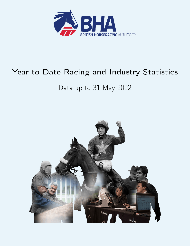

# Year to Date Racing and Industry Statistics

# Data up to 31 May 2022

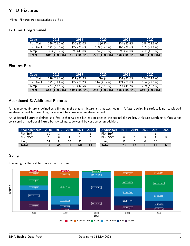# YTD Fixtures

`Mixed' Fixtures are recategorised as `Flat'.

### Fixtures Programmed

| Code      | 2018          | 2019           | 2020         | 2021         | 2022           |
|-----------|---------------|----------------|--------------|--------------|----------------|
| Flat Turf | 128 (21.2%)   | 130 (21.6%)    | $1(0.4\%)$   | 134 (22.4%)  | $145(24.1\%)$  |
| Flat AWT  | 172(28.5%)    | 172 (28.6%)    | $109(398\%)$ | 165(27.6%)   | 165(27.4%)     |
| Jump      | $303(50.2\%)$ | 299 (49.8%)    | 164 (59.9%)  | $299(500\%)$ | 292 (48.5%)    |
| Total     | 603 (100.0%)  | $601(100.0\%)$ | 274 (100.0%) | 598 (100.0%) | $602(100.0\%)$ |

### Fixtures Ran

| Code         | 2018          | 2019           | 2020         | 2021         | 2022           |
|--------------|---------------|----------------|--------------|--------------|----------------|
| Flat Turf    | 118 (21 2%)   | 127(22.3%)     | NA (-)       | 131(236%)    | 144 $(24.1\%)$ |
| Flat AWT     | $175(31.4\%)$ | 172 (30.2%)    | $114(462\%)$ | 171 (30.8%)  | 164 (27.5%)    |
| Jump         | 264 (47.4%)   | 270(47.5%)     | 133 (53.8%)  | 254 (45.7%)  | 289 (48.4%)    |
| <b>Total</b> | 557 (100.0%)  | $569(100.0\%)$ | 247 (100.0%) | 556 (100.0%) | 597 (100.0%)   |

### Abandoned & Additional Fixtures

An abandoned fixture is defined as a fixture in the original fixture list that was not run. A fixture switching surface is not considered an abandonment but switching code would be considered an abandonment.

An additional fixture is defined as a fixture that was ran but not included in the original fixture list. A fixture switching surface is not considered an additional fixture but switching code would be considered an additional.

| <b>Abandonments</b> | 2018 | 2019 | 2020 | 2021 | 2022 | <b>Additionals</b> | 2018 | 2019 | 2020 | 2021 | 2022 |
|---------------------|------|------|------|------|------|--------------------|------|------|------|------|------|
| Flat Turf           |      |      |      |      |      | Flat Turf          |      |      |      |      |      |
| Flat AWT            |      |      |      |      |      | Flat AWT           |      |      |      |      |      |
| Jump                | 54   | 34   |      | 55   |      | Jump               | ιb   |      |      |      |      |
| Total               | 69   | 45   | 38   | 60   |      | Total              | າາ   |      |      |      |      |

#### Going

The going for the last turf race at each fixture.

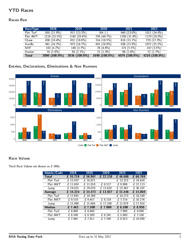# YTD Races

### Races Ran

| RaceType     | 2018          | 2019          | 2020          | 2021           | 2022           |
|--------------|---------------|---------------|---------------|----------------|----------------|
| Flat Turf    | 850(21.9%)    | 917(233%)     | $NA(-)$       | 940 (23 0%)    | 1011 (24.0%)   |
| Flat AWT     | 1224(315%)    | 1165(296%)    | 793 (46.7%)   | 1296 (31 8%)   | $1179(28.0\%)$ |
| Chase        | 638 (16.4%)   | 652 (16.6%)   | 314(18.5%)    | 616 $(15.1\%)$ | 729 (17.3%)    |
| Hurdle       | 941(242%)     | 973(247%)     | 491 (28.9%)   | 936(22.9%)     | 1072(25.5%)    |
| NHF.         | $163(4.2\%)$  | 146 (3.7%)    | 78 (4 6%)     | 225(55%)       | 147(35%)       |
| Hunter       | 74 (19%)      | 83 $(2.1\%)$  | 22(1.3%)      | 66 (1.6%)      | 72(1.7%)       |
| <b>Total</b> | 3890 (100.0%) | 3936 (100.0%) | 1698 (100.0%) | 4079 (100.0%)  | 4210 (100.0%)  |

# Entries, Declarations, Eliminations & Non Runners



### Race Values

Total Race Values are shown as £ 000s.

| Metric/Code   | 2018     | 2019     | 2020                    | 2021     | 2022                         |
|---------------|----------|----------|-------------------------|----------|------------------------------|
| <b>Total</b>  | £ 55,719 | £ 56,967 | £ 22,138                | £ 46,688 | £ 66,769                     |
| Flat Turf     | £ 15,037 | £ 16,871 |                         | £ 13,323 | £ 18,450                     |
| Flat AWT      | £11,650  | £ 11,018 | £ 6,517                 | £9,998   | £ $12,113$                   |
| Jump          | £ 29,031 | £ 29,079 | $\overline{1, 15}$ ,620 | £ 23,367 | £ 36,207                     |
| Average       | £14,324  | £ 14,473 | £ 13,037                | £ 11,446 | £15,860                      |
| Flat Turf     | £ 17,691 | £ 18,398 |                         | £ 14,173 | £ 18,249                     |
| Flat AWT      | £9,518   | £9,457   | £ 8,219                 | £ 7,714  | £ 10,274                     |
| Jump          | £ 15,986 | £ 15,684 | £ 17,260                | £ 12,679 | £ 17,924                     |
| <b>Median</b> | £ 7,461  | £7,500   | £7,000                  | £ 6,500  | £ 8,950                      |
| Flat Turf     | £ 8,600  | £8,600   |                         | £7.900   | £9,000                       |
| Flat AWT      | £ 6.569  | £ 6.569  | £ 6.245                 | £5,600   | £7,100                       |
| Jump          | £7,845   | £ 7.811  | £ 7,749                 | £6.923   | $\overline{\text{£}}$ 10,000 |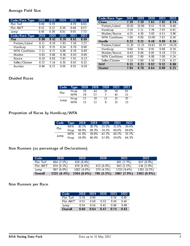### Average Field Size

| Code/Race Type        | 2018 | 2019 | 2020              | 2021 | 2022  |
|-----------------------|------|------|-------------------|------|-------|
| Flat Turf             | 969  | 9.79 |                   | 8.79 | 8.83  |
| Flat AWT              | 852  | 9.12 | 8.39              | 8.48 | 8.57  |
| Jump                  | 845  | 8.39 | 8.81              | 9.05 | 7.73  |
| Code/Race Type        | 2018 | 2019 | $\overline{2020}$ | 2021 | 2022  |
| Flat                  | 9.00 | 9.42 | 839               | 8.61 | 8.69  |
| Pattern/Listed        | 8.11 | 8.19 | 7.83              | 7.56 | 7.27  |
| Handicap              | 9.32 | 975  | 8.54              | 8.78 | 8.90  |
| <b>WFA Conditions</b> | 7.11 | 8.71 | 8.66              | 8.76 | 8.49  |
| Maiden                | 9.83 | 9.88 | 9.36              | 8.83 | 8.89  |
| Novice                | 8.18 | 8.63 | 767               | 7.91 | 8.13  |
| Seller/Claimer        | 6.72 | 714  | 6.35              | 6.67 | 6 3 2 |
| Auction               | 8.94 | 8 71 | 8.05              | 8.91 | 859   |

| Code/Race Type        | 2018  | 2019  | 2020  | 2021  | 2022  |
|-----------------------|-------|-------|-------|-------|-------|
| <b>Chase</b>          | 7.19  | 7.19  | 7.65  | 7.92  | 674   |
| Pattern/Listed        | 10.62 | 10.60 | 9.57  | 9.76  | 9.48  |
| Handicap              | 7 1 6 | 7.11  | 7.76  | 797   | 6.61  |
| Maiden/Novice         | 4.25  | 4 3 0 | 3.93  | 451   | 396   |
| <b>WFA Conditions</b> | 7.00  | 9.00  | 10.00 | 767   | 6.50  |
| <b>Hurdle</b>         | 9.23  | 9.21  | 9.48  | 9.69  | 8.34  |
| Pattern/Listed        | 11.32 | 11.15 | 10.61 | 10.77 | 10.26 |
| Handicap              | 964   | 954   | 991   | 9.98  | 8.74  |
| Maiden/Novice         | 8.43  | 848   | 8.85  | 9.18  | 753   |
| <b>WFA Conditions</b> | 6.69  | 789   | 6.88  | 7.00  | 5.24  |
| Seller/Claimer        | 7.10  | 7.00  | 5.50  | 7.29  | 6.17  |
| <b>NHF</b>            | 9 15  | 9.23  | 992   | 9.52  | 8.88  |
| <b>Hunter</b>         | 784   | 6.78  | 6.64  | 8.88  | 6.21  |

# Divided Races

| Code | Type | 2018 | 2019 | 2020 | 2021 | 2022 |
|------|------|------|------|------|------|------|
| Flat | Hcap | 76   | 43   | 35   | 58   | 61   |
|      | WFA  | 29   | 27   |      | 42   | 21   |
|      | Hcap | 12   | 10   |      | 31   | 32   |
| Jump | WFA  | 15   | 12   | Q    | 31   | 13   |

# Proportion of Races by Handicap/WFA

|      |  | Code Type 2018 2019 2020 2021 2022 |  |
|------|--|------------------------------------|--|
| Flat |  | WFA 30.1% 30.7% 25.5% 31.0% 30.4%  |  |
|      |  | Hcap 69.9% 69.3% 74.5% 69.0% 69.6% |  |
|      |  | WFA 41.0% 39.6% 42.2% 40.2% 35.7%  |  |
| Jump |  | Hcap 59.0% 60.4% 57.8% 59.8% 64.3% |  |

# Non Runners (as percentage of Declarations)

| Code      | 2018        | 2019          | 2020       | 2021        | 2022        |
|-----------|-------------|---------------|------------|-------------|-------------|
| Flat Turf | 664 (7.5%)  | $826(84\%)$   |            | 691 (7.7%)  | 657 (6.9%)  |
| Flat AWT  | $674(61\%)$ | $676(6.0\%)$  | 423 (6.0%) | 643(5.5%)   | $534(50\%)$ |
| Jump      | $987(60\%)$ | $1002(6.0\%)$ | 373(4.5%)  | 1733 (9.4%) | 1391 (8.2%) |
| Overall   | 2325 (6.4%) | $2504(6.6\%)$ | 796 (5.2%) | 3067(7.9%)  | 2582(6.9%)  |

### Non Runners per Race

| Code      | 2018 | 2019 | 2020 | 2021 | 2022 |
|-----------|------|------|------|------|------|
| Flat Turf | 0.78 | N 90 |      | ი 74 | 0.65 |
| Flat AWT  | 0.55 | O 58 | 0.53 | N 50 | 0.45 |
| Jump      | 0.54 | በ 54 | በ 41 | በ 94 | በ 69 |
| Overall   | 0.60 | O 64 | O 47 | 0.75 | 0.61 |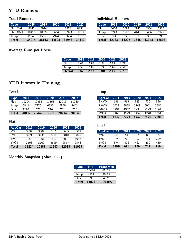# YTD Runners

### Total Runners

| Code         | 2018  | 2019  | 2020  | 2021  | 2022  |
|--------------|-------|-------|-------|-------|-------|
| Flat Turf    | 8240  | 8974  |       | 8259  | 8930  |
| Flat AWT     | 10425 | 10629 | 6654  | 10993 | 10107 |
| Jump         | 15349 | 15560 | 7974  | 16694 | 15612 |
| <b>Total</b> | 34014 | 35163 | 14628 | 35946 | 34649 |

## Average Runs per Horse

| Code    | 2018 | 2019 | -2020 | $-2021$ | 2022 |
|---------|------|------|-------|---------|------|
| Flat    | 2.67 | 2.70 | 2.32  | 2.79    | 2 77 |
| Jump    | 2.53 | 246  | 174   | 246     | 2.51 |
| Overall | 2.67 | 2.66 | 2.00  | 2.69    | 2.71 |

Jump

Individual Runners

# YTD Horses in Training

**Total** 

| Type <sup>1</sup> | 2018  | 2019  | 2020  | 2021  | 2022  |
|-------------------|-------|-------|-------|-------|-------|
| Flat              | 12224 | 12488 | 11863 | 12013 | 11939 |
| Jump              | 6542  | 7276  | 6952  | 7970  | 7401  |
| Dual              | 1290  | 678   | 756   | 731   | 766   |
| Total             | 20056 | 20442 | 19571 | 20714 | 20106 |

### Flat

| AgeCat          | 2018  | 2019  | 2020  | 2021  | 2022  |
|-----------------|-------|-------|-------|-------|-------|
| 2Y <sub>O</sub> | 3837  | 3889  | 3385  | 3605  | 3575  |
| 3Y O            | 3971  | 3931  | 3952  | 3810  | 3829  |
| 4Y O            | 1853  | 1966  | 1897  | 2021  | 1992  |
| $5Y0+$          | 2563  | 2702  | 2629  | 2577  | 2543  |
| <b>Total</b>    | 12224 | 12488 | 11863 | 12013 | 11939 |

### AgeCat 2018 2019 2020 2021 2022 3-4YO 755 955 5-6YO 2527 2835 2741 3001 2850 7-8YO 1794 1957 1930 2299 2064 9YO+ 1466 1529 1452 1770 1551  $6542$ Dual

| AgeCat          | 2018 | 2019 | 2020 | 2021 | 2022 |
|-----------------|------|------|------|------|------|
| 3Y <sub>0</sub> | 92   | 51   | 97   | 88   | 127  |
| 4YO             | 324  | 201  | 192  | 204  | 209  |
| $5Y0+$          | 874  | 426  | 467  | 439  | 430  |
| Total           | 1290 | 678  | 756  | 731  | 766  |

## Monthly Snapshot (May 2022)

| Type <sub></sub> | HIT   | Proportion |
|------------------|-------|------------|
| Flat             | 10424 | 65.0%      |
| Jump             | 4914  | $30.7\%$   |
| Dual             | 690   | 4.3%       |
| <b>Total</b>     | 16028 | 100.0%     |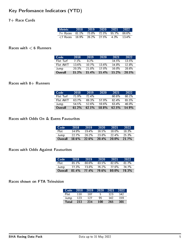# Key Perfomance Indicators (YTD)

## 7+ Race Cards

| Metric 2018 2019 2020 2021 2022،                                             |  |  |          |
|------------------------------------------------------------------------------|--|--|----------|
| 7+ Races 81.1% 73.8% 72.5% 95.7% 86.6%                                       |  |  |          |
| $\langle 7 \text{ Races} \quad 18.9\% \quad 26.2\% \quad 27.5\% \quad 4.3\%$ |  |  | $13.4\%$ |

### Races with  $< 6$  Runners

| Code      | 2018     | 2019    | 2020     | 2021  | 2022     |
|-----------|----------|---------|----------|-------|----------|
| Flat Turf | 71%      | $8.2\%$ |          | 14.5% | 13.5%    |
| Flat AWT  | $13.6\%$ | $107\%$ | $13.6\%$ | 14.8% | $12.8\%$ |
| Jump      | 20.3%    | 21.8%   | 17.0%    | 16 በ% | 28.6%    |
| Overall   | 15.3%    | 15.4%   | 15.4%    | 15.2% | 20.5%    |

### Races with  $8+$  Runners

| Code      | 2018  | 2019     | 2020  | 2021     | 2022  |
|-----------|-------|----------|-------|----------|-------|
| Flat Turf | 71.9% | $72.4\%$ |       | $60.6\%$ | 60 1% |
| Flat AWT  | 637%  | 693%     | 57.9% | $62.4\%$ | 65.5% |
| Jump      | 54.5% | 526%     | 59.6% | 63.4%    | 46 በ% |
| Overall   | 61.2% | 62.1%    | 58.8% | 62.5%    | 54.9% |

#### Races with Odds On & Evens Favourites

| Code    | 2018     | 2019     | 2020     | 2021     | 2022     |
|---------|----------|----------|----------|----------|----------|
| Flat:   | 14.9%    | $19.4\%$ | $16.5\%$ | 18 በ%    | 18.3%    |
| Jump    | $22.7\%$ | 26.2%    | 23.8%    | $22.4\%$ | $25.3\%$ |
| Overall | $18.6\%$ | $22.6\%$ | $20.4\%$ | 20.0%    | 21.7%    |

# Races with Odds Against Favourites

| Code    | 2018    | 2019  | 2020     | 2021  | 2022  |
|---------|---------|-------|----------|-------|-------|
| Flat:   | $851\%$ | 80.6% | $83.5\%$ | 82.0% | 817%  |
| Jump    | 77.3%   | 73.8% | 76.2%    | 77.6% | 74.7% |
| Overall | 81.4%   | 77.4% | 79.6%    | 80.0% | 78.3% |

### Races shown on FTA Television

| Code         | 2018 | 2019 | 2020 | 2021 | 2022 |
|--------------|------|------|------|------|------|
| Flati        | 110  | 107  | Б,   | 123  | 142  |
| Jump         | 123  | 127  | ۹ħ   | 142  | 159  |
| <b>Total</b> | 233  | 234  | 100  | 265  | 301  |